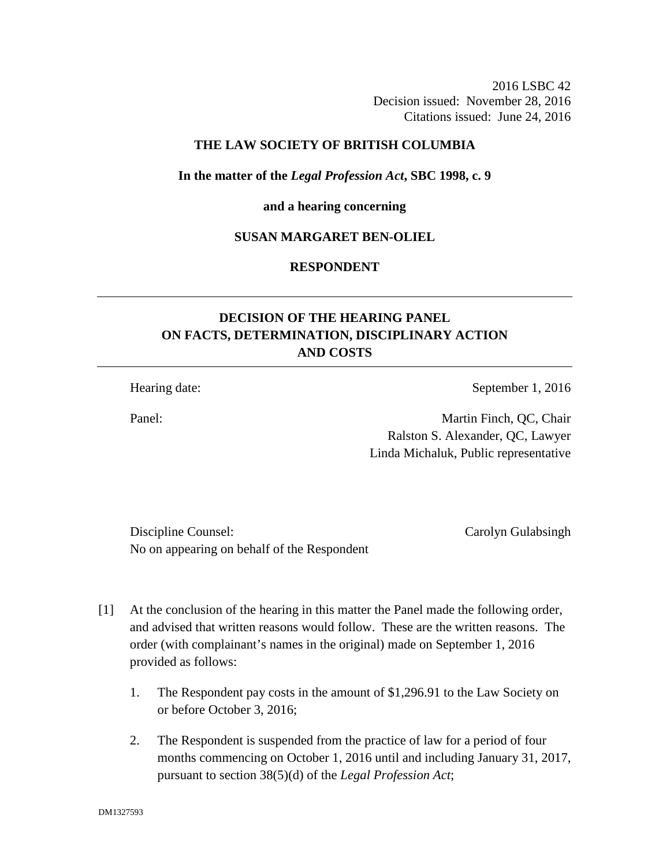2016 LSBC 42 Decision issued: November 28, 2016 Citations issued: June 24, 2016

# **THE LAW SOCIETY OF BRITISH COLUMBIA**

#### **In the matter of the** *Legal Profession Act***, SBC 1998, c. 9**

#### **and a hearing concerning**

# **SUSAN MARGARET BEN-OLIEL**

# **RESPONDENT**

# **DECISION OF THE HEARING PANEL ON FACTS, DETERMINATION, DISCIPLINARY ACTION AND COSTS**

Hearing date: September 1, 2016

Panel: Martin Finch, QC, Chair Ralston S. Alexander, QC, Lawyer Linda Michaluk, Public representative

Discipline Counsel: Carolyn Gulabsingh No on appearing on behalf of the Respondent

- [1] At the conclusion of the hearing in this matter the Panel made the following order, and advised that written reasons would follow. These are the written reasons. The order (with complainant's names in the original) made on September 1, 2016 provided as follows:
	- 1. The Respondent pay costs in the amount of \$1,296.91 to the Law Society on or before October 3, 2016;
	- 2. The Respondent is suspended from the practice of law for a period of four months commencing on October 1, 2016 until and including January 31, 2017, pursuant to section 38(5)(d) of the *Legal Profession Act*;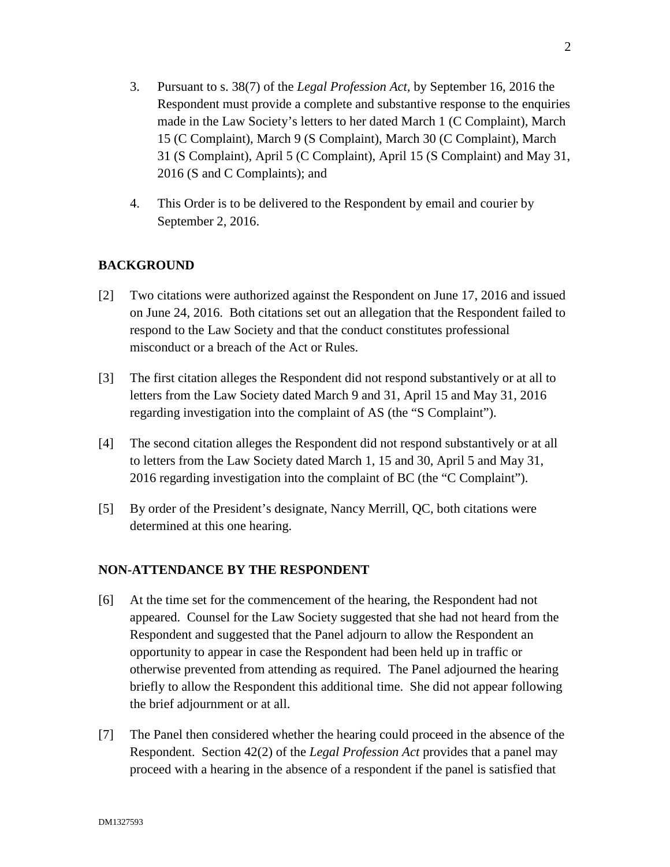- 3. Pursuant to s. 38(7) of the *Legal Profession Act,* by September 16, 2016 the Respondent must provide a complete and substantive response to the enquiries made in the Law Society's letters to her dated March 1 (C Complaint), March 15 (C Complaint), March 9 (S Complaint), March 30 (C Complaint), March 31 (S Complaint), April 5 (C Complaint), April 15 (S Complaint) and May 31, 2016 (S and C Complaints); and
- 4. This Order is to be delivered to the Respondent by email and courier by September 2, 2016.

# **BACKGROUND**

- [2] Two citations were authorized against the Respondent on June 17, 2016 and issued on June 24, 2016. Both citations set out an allegation that the Respondent failed to respond to the Law Society and that the conduct constitutes professional misconduct or a breach of the Act or Rules.
- [3] The first citation alleges the Respondent did not respond substantively or at all to letters from the Law Society dated March 9 and 31, April 15 and May 31, 2016 regarding investigation into the complaint of AS (the "S Complaint").
- [4] The second citation alleges the Respondent did not respond substantively or at all to letters from the Law Society dated March 1, 15 and 30, April 5 and May 31, 2016 regarding investigation into the complaint of BC (the "C Complaint").
- [5] By order of the President's designate, Nancy Merrill, QC, both citations were determined at this one hearing.

# **NON-ATTENDANCE BY THE RESPONDENT**

- [6] At the time set for the commencement of the hearing, the Respondent had not appeared. Counsel for the Law Society suggested that she had not heard from the Respondent and suggested that the Panel adjourn to allow the Respondent an opportunity to appear in case the Respondent had been held up in traffic or otherwise prevented from attending as required. The Panel adjourned the hearing briefly to allow the Respondent this additional time. She did not appear following the brief adjournment or at all.
- [7] The Panel then considered whether the hearing could proceed in the absence of the Respondent. Section 42(2) of the *Legal Profession Act* provides that a panel may proceed with a hearing in the absence of a respondent if the panel is satisfied that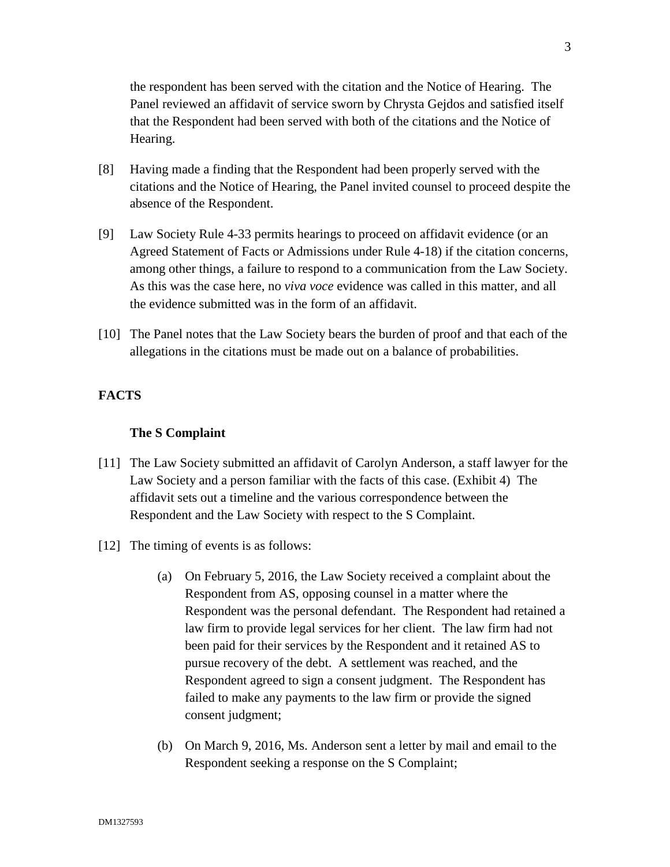the respondent has been served with the citation and the Notice of Hearing. The Panel reviewed an affidavit of service sworn by Chrysta Gejdos and satisfied itself that the Respondent had been served with both of the citations and the Notice of Hearing.

- [8] Having made a finding that the Respondent had been properly served with the citations and the Notice of Hearing, the Panel invited counsel to proceed despite the absence of the Respondent.
- [9] Law Society Rule 4-33 permits hearings to proceed on affidavit evidence (or an Agreed Statement of Facts or Admissions under Rule 4-18) if the citation concerns, among other things, a failure to respond to a communication from the Law Society. As this was the case here, no *viva voce* evidence was called in this matter, and all the evidence submitted was in the form of an affidavit.
- [10] The Panel notes that the Law Society bears the burden of proof and that each of the allegations in the citations must be made out on a balance of probabilities.

# **FACTS**

#### **The S Complaint**

- [11] The Law Society submitted an affidavit of Carolyn Anderson, a staff lawyer for the Law Society and a person familiar with the facts of this case. (Exhibit 4) The affidavit sets out a timeline and the various correspondence between the Respondent and the Law Society with respect to the S Complaint.
- [12] The timing of events is as follows:
	- (a) On February 5, 2016, the Law Society received a complaint about the Respondent from AS, opposing counsel in a matter where the Respondent was the personal defendant. The Respondent had retained a law firm to provide legal services for her client. The law firm had not been paid for their services by the Respondent and it retained AS to pursue recovery of the debt. A settlement was reached, and the Respondent agreed to sign a consent judgment. The Respondent has failed to make any payments to the law firm or provide the signed consent judgment;
	- (b) On March 9, 2016, Ms. Anderson sent a letter by mail and email to the Respondent seeking a response on the S Complaint;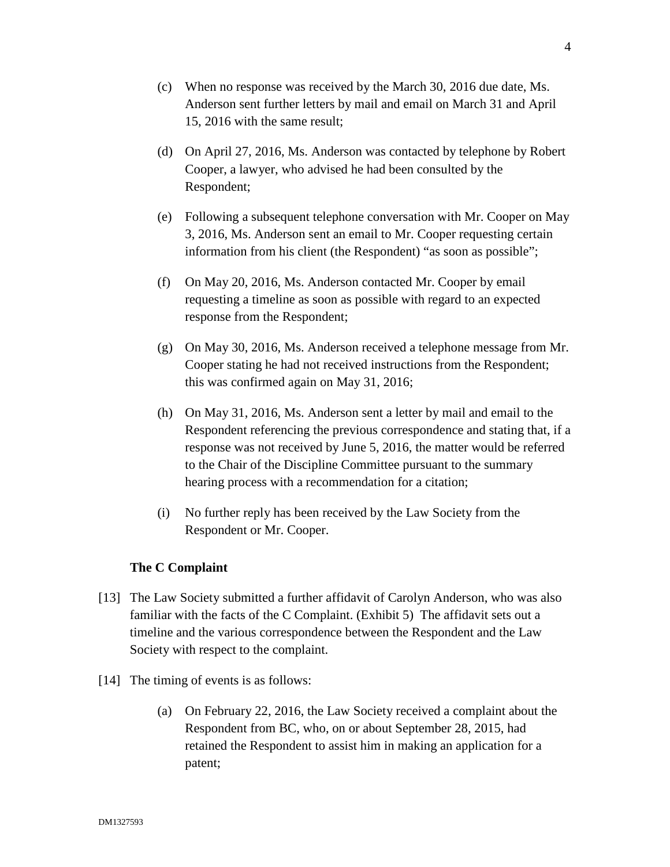- (c) When no response was received by the March 30, 2016 due date, Ms. Anderson sent further letters by mail and email on March 31 and April 15, 2016 with the same result;
- (d) On April 27, 2016, Ms. Anderson was contacted by telephone by Robert Cooper, a lawyer, who advised he had been consulted by the Respondent;
- (e) Following a subsequent telephone conversation with Mr. Cooper on May 3, 2016, Ms. Anderson sent an email to Mr. Cooper requesting certain information from his client (the Respondent) "as soon as possible";
- (f) On May 20, 2016, Ms. Anderson contacted Mr. Cooper by email requesting a timeline as soon as possible with regard to an expected response from the Respondent;
- (g) On May 30, 2016, Ms. Anderson received a telephone message from Mr. Cooper stating he had not received instructions from the Respondent; this was confirmed again on May 31, 2016;
- (h) On May 31, 2016, Ms. Anderson sent a letter by mail and email to the Respondent referencing the previous correspondence and stating that, if a response was not received by June 5, 2016, the matter would be referred to the Chair of the Discipline Committee pursuant to the summary hearing process with a recommendation for a citation;
- (i) No further reply has been received by the Law Society from the Respondent or Mr. Cooper.

# **The C Complaint**

- [13] The Law Society submitted a further affidavit of Carolyn Anderson, who was also familiar with the facts of the C Complaint. (Exhibit 5) The affidavit sets out a timeline and the various correspondence between the Respondent and the Law Society with respect to the complaint.
- [14] The timing of events is as follows:
	- (a) On February 22, 2016, the Law Society received a complaint about the Respondent from BC, who, on or about September 28, 2015, had retained the Respondent to assist him in making an application for a patent;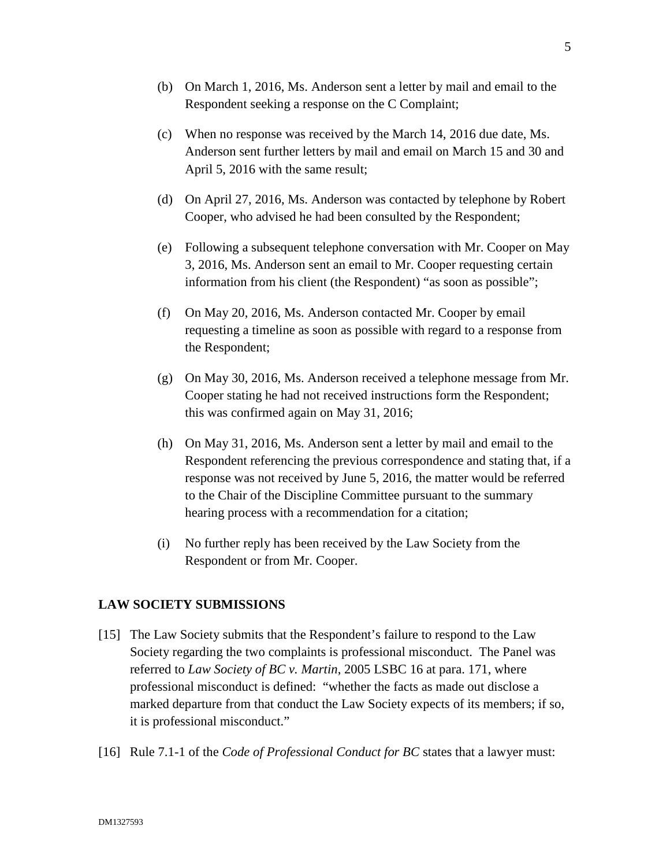- (b) On March 1, 2016, Ms. Anderson sent a letter by mail and email to the Respondent seeking a response on the C Complaint;
- (c) When no response was received by the March 14, 2016 due date, Ms. Anderson sent further letters by mail and email on March 15 and 30 and April 5, 2016 with the same result;
- (d) On April 27, 2016, Ms. Anderson was contacted by telephone by Robert Cooper, who advised he had been consulted by the Respondent;
- (e) Following a subsequent telephone conversation with Mr. Cooper on May 3, 2016, Ms. Anderson sent an email to Mr. Cooper requesting certain information from his client (the Respondent) "as soon as possible";
- (f) On May 20, 2016, Ms. Anderson contacted Mr. Cooper by email requesting a timeline as soon as possible with regard to a response from the Respondent;
- (g) On May 30, 2016, Ms. Anderson received a telephone message from Mr. Cooper stating he had not received instructions form the Respondent; this was confirmed again on May 31, 2016;
- (h) On May 31, 2016, Ms. Anderson sent a letter by mail and email to the Respondent referencing the previous correspondence and stating that, if a response was not received by June 5, 2016, the matter would be referred to the Chair of the Discipline Committee pursuant to the summary hearing process with a recommendation for a citation;
- (i) No further reply has been received by the Law Society from the Respondent or from Mr. Cooper.

#### **LAW SOCIETY SUBMISSIONS**

- [15] The Law Society submits that the Respondent's failure to respond to the Law Society regarding the two complaints is professional misconduct. The Panel was referred to *Law Society of BC v. Martin*, 2005 LSBC 16 at para. 171, where professional misconduct is defined: "whether the facts as made out disclose a marked departure from that conduct the Law Society expects of its members; if so, it is professional misconduct."
- [16] Rule 7.1-1 of the *Code of Professional Conduct for BC* states that a lawyer must: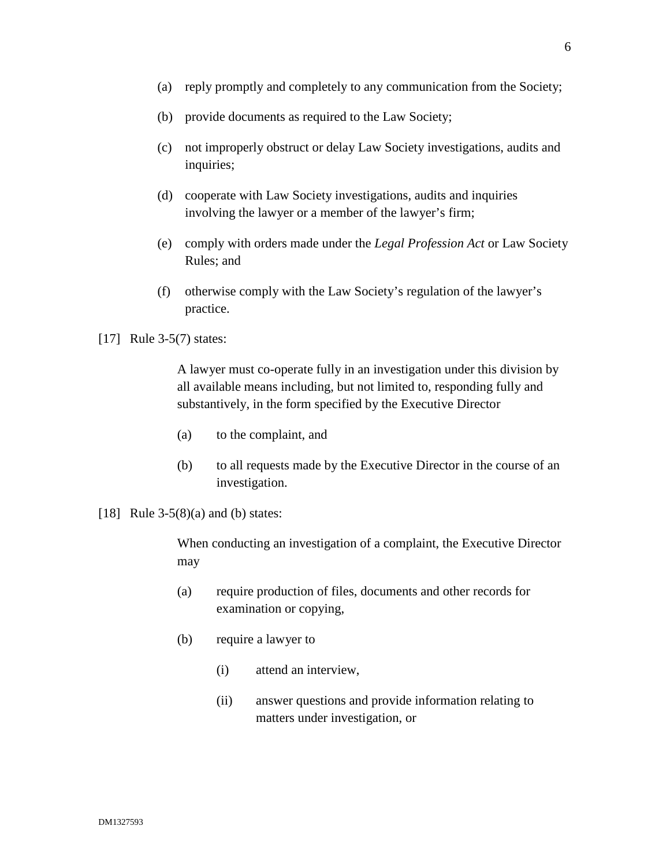- (b) provide documents as required to the Law Society;
- (c) not improperly obstruct or delay Law Society investigations, audits and inquiries;
- (d) cooperate with Law Society investigations, audits and inquiries involving the lawyer or a member of the lawyer's firm;
- (e) comply with orders made under the *Legal Profession Act* or Law Society Rules; and
- (f) otherwise comply with the Law Society's regulation of the lawyer's practice.

#### [17] Rule 3-5(7) states:

A lawyer must co-operate fully in an investigation under this division by all available means including, but not limited to, responding fully and substantively, in the form specified by the Executive Director

- (a) to the complaint, and
- (b) to all requests made by the Executive Director in the course of an investigation.
- [18] Rule 3-5(8)(a) and (b) states:

When conducting an investigation of a complaint, the Executive Director may

- (a) require production of files, documents and other records for examination or copying,
- (b) require a lawyer to
	- (i) attend an interview,
	- (ii) answer questions and provide information relating to matters under investigation, or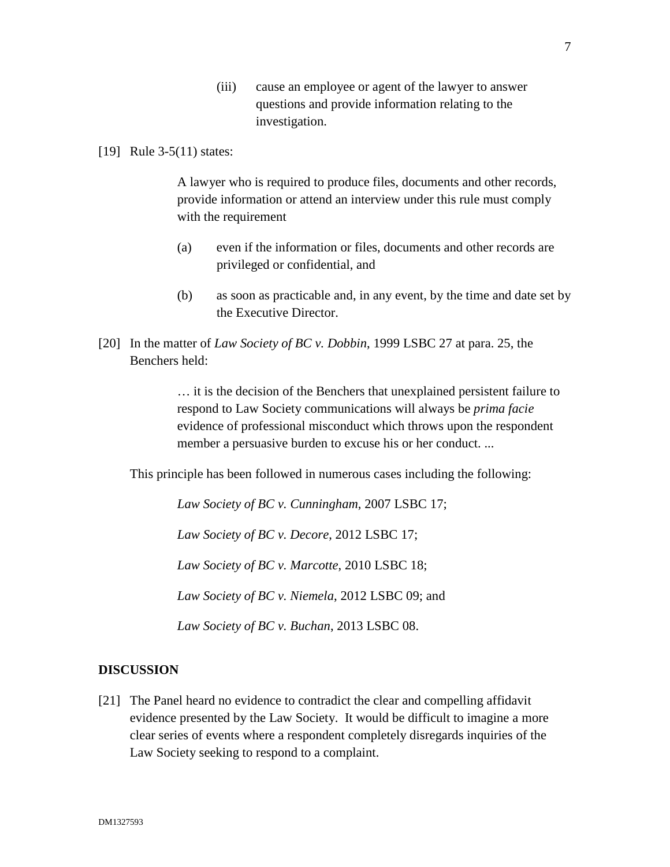- (iii) cause an employee or agent of the lawyer to answer questions and provide information relating to the investigation.
- [19] Rule 3-5(11) states:

A lawyer who is required to produce files, documents and other records, provide information or attend an interview under this rule must comply with the requirement

- (a) even if the information or files, documents and other records are privileged or confidential, and
- (b) as soon as practicable and, in any event, by the time and date set by the Executive Director.
- [20] In the matter of *Law Society of BC v. Dobbin*, 1999 LSBC 27 at para. 25, the Benchers held:

… it is the decision of the Benchers that unexplained persistent failure to respond to Law Society communications will always be *prima facie*  evidence of professional misconduct which throws upon the respondent member a persuasive burden to excuse his or her conduct. ...

This principle has been followed in numerous cases including the following:

*Law Society of BC v. Cunningham*, 2007 LSBC 17;

*Law Society of BC v. Decore*, 2012 LSBC 17;

*Law Society of BC v. Marcotte*, 2010 LSBC 18;

*Law Society of BC v. Niemela*, 2012 LSBC 09; and

*Law Society of BC v. Buchan*, 2013 LSBC 08.

#### **DISCUSSION**

[21] The Panel heard no evidence to contradict the clear and compelling affidavit evidence presented by the Law Society. It would be difficult to imagine a more clear series of events where a respondent completely disregards inquiries of the Law Society seeking to respond to a complaint.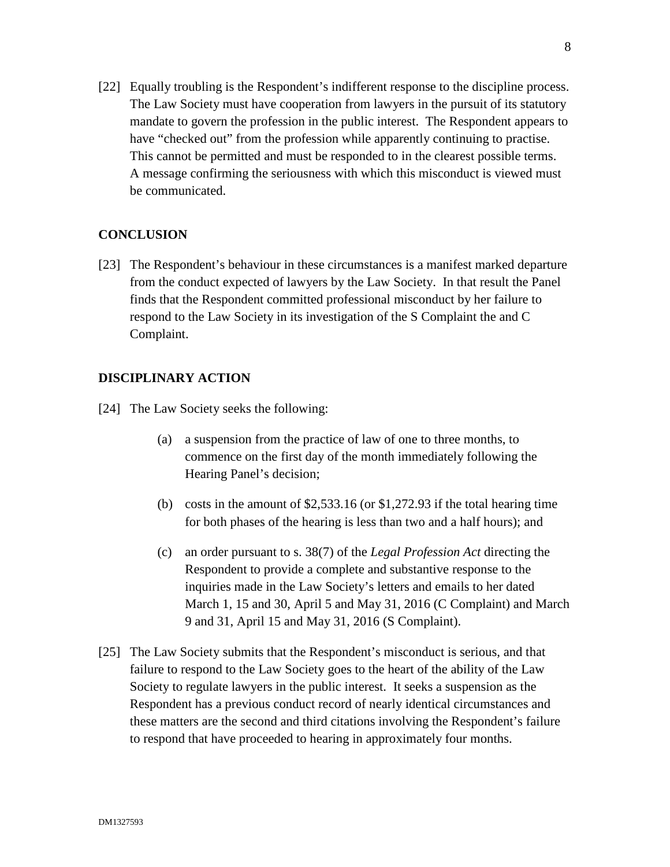[22] Equally troubling is the Respondent's indifferent response to the discipline process. The Law Society must have cooperation from lawyers in the pursuit of its statutory mandate to govern the profession in the public interest. The Respondent appears to have "checked out" from the profession while apparently continuing to practise. This cannot be permitted and must be responded to in the clearest possible terms. A message confirming the seriousness with which this misconduct is viewed must be communicated.

# **CONCLUSION**

[23] The Respondent's behaviour in these circumstances is a manifest marked departure from the conduct expected of lawyers by the Law Society. In that result the Panel finds that the Respondent committed professional misconduct by her failure to respond to the Law Society in its investigation of the S Complaint the and C Complaint.

#### **DISCIPLINARY ACTION**

- [24] The Law Society seeks the following:
	- (a) a suspension from the practice of law of one to three months, to commence on the first day of the month immediately following the Hearing Panel's decision;
	- (b) costs in the amount of \$2,533.16 (or \$1,272.93 if the total hearing time for both phases of the hearing is less than two and a half hours); and
	- (c) an order pursuant to s. 38(7) of the *Legal Profession Act* directing the Respondent to provide a complete and substantive response to the inquiries made in the Law Society's letters and emails to her dated March 1, 15 and 30, April 5 and May 31, 2016 (C Complaint) and March 9 and 31, April 15 and May 31, 2016 (S Complaint).
- [25] The Law Society submits that the Respondent's misconduct is serious, and that failure to respond to the Law Society goes to the heart of the ability of the Law Society to regulate lawyers in the public interest. It seeks a suspension as the Respondent has a previous conduct record of nearly identical circumstances and these matters are the second and third citations involving the Respondent's failure to respond that have proceeded to hearing in approximately four months.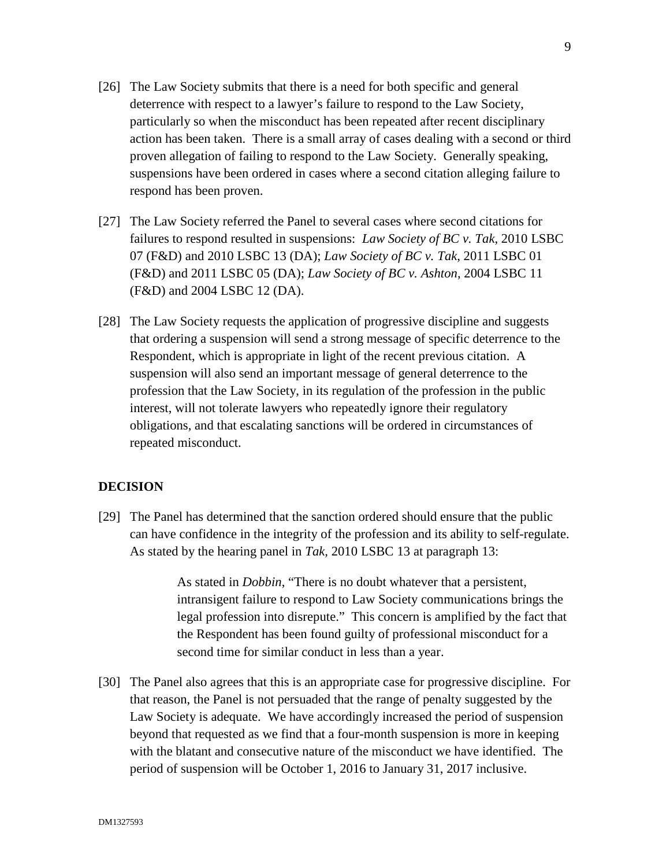- [26] The Law Society submits that there is a need for both specific and general deterrence with respect to a lawyer's failure to respond to the Law Society, particularly so when the misconduct has been repeated after recent disciplinary action has been taken. There is a small array of cases dealing with a second or third proven allegation of failing to respond to the Law Society. Generally speaking, suspensions have been ordered in cases where a second citation alleging failure to respond has been proven.
- [27] The Law Society referred the Panel to several cases where second citations for failures to respond resulted in suspensions: *Law Society of BC v. Tak*, 2010 LSBC 07 (F&D) and 2010 LSBC 13 (DA); *Law Society of BC v. Tak*, 2011 LSBC 01 (F&D) and 2011 LSBC 05 (DA); *Law Society of BC v. Ashton*, 2004 LSBC 11 (F&D) and 2004 LSBC 12 (DA).
- [28] The Law Society requests the application of progressive discipline and suggests that ordering a suspension will send a strong message of specific deterrence to the Respondent, which is appropriate in light of the recent previous citation. A suspension will also send an important message of general deterrence to the profession that the Law Society, in its regulation of the profession in the public interest, will not tolerate lawyers who repeatedly ignore their regulatory obligations, and that escalating sanctions will be ordered in circumstances of repeated misconduct.

#### **DECISION**

[29] The Panel has determined that the sanction ordered should ensure that the public can have confidence in the integrity of the profession and its ability to self-regulate. As stated by the hearing panel in *Tak,* 2010 LSBC 13 at paragraph 13:

> As stated in *Dobbin*, "There is no doubt whatever that a persistent, intransigent failure to respond to Law Society communications brings the legal profession into disrepute." This concern is amplified by the fact that the Respondent has been found guilty of professional misconduct for a second time for similar conduct in less than a year.

[30] The Panel also agrees that this is an appropriate case for progressive discipline. For that reason, the Panel is not persuaded that the range of penalty suggested by the Law Society is adequate. We have accordingly increased the period of suspension beyond that requested as we find that a four-month suspension is more in keeping with the blatant and consecutive nature of the misconduct we have identified. The period of suspension will be October 1, 2016 to January 31, 2017 inclusive.